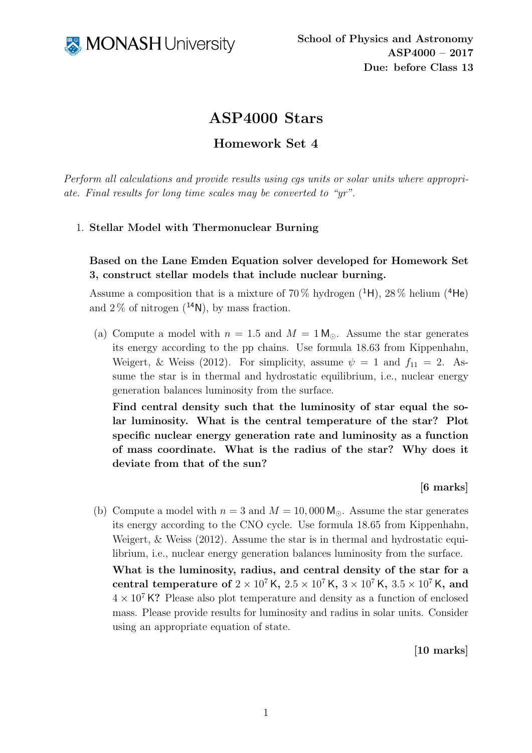

# ASP4000 Stars

## Homework Set 4

Perform all calculations and provide results using cgs units or solar units where appropriate. Final results for long time scales may be converted to "yr".

### 1. Stellar Model with Thermonuclear Burning

## Based on the Lane Emden Equation solver developed for Homework Set 3, construct stellar models that include nuclear burning.

Assume a composition that is a mixture of  $70\%$  hydrogen (<sup>1</sup>H),  $28\%$  helium (<sup>4</sup>He) and  $2\%$  of nitrogen  $(^{14}N)$ , by mass fraction.

(a) Compute a model with  $n = 1.5$  and  $M = 1 M_{\odot}$ . Assume the star generates its energy according to the pp chains. Use formula 18.63 from Kippenhahn, Weigert, & Weiss (2012). For simplicity, assume  $\psi = 1$  and  $f_{11} = 2$ . Assume the star is in thermal and hydrostatic equilibrium, i.e., nuclear energy generation balances luminosity from the surface.

Find central density such that the luminosity of star equal the solar luminosity. What is the central temperature of the star? Plot specific nuclear energy generation rate and luminosity as a function of mass coordinate. What is the radius of the star? Why does it deviate from that of the sun?

[6 marks]

(b) Compute a model with  $n = 3$  and  $M = 10,000$  M<sub>o</sub>. Assume the star generates its energy according to the CNO cycle. Use formula 18.65 from Kippenhahn, Weigert, & Weiss (2012). Assume the star is in thermal and hydrostatic equilibrium, i.e., nuclear energy generation balances luminosity from the surface.

What is the luminosity, radius, and central density of the star for a central temperature of  $2 \times 10^7$  K,  $2.5 \times 10^7$  K,  $3 \times 10^7$  K,  $3.5 \times 10^7$  K, and  $4 \times 10^7$  K? Please also plot temperature and density as a function of enclosed mass. Please provide results for luminosity and radius in solar units. Consider using an appropriate equation of state.

[10 marks]